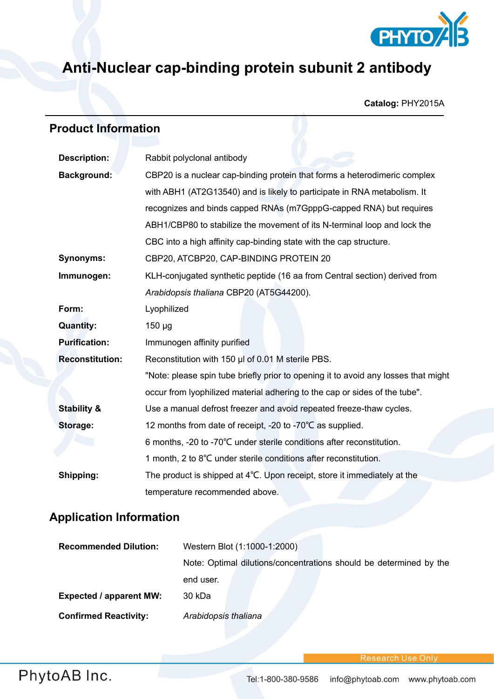

## **Anti-Nuclear cap-binding protein subunit 2 antibody**

**Catalog:** PHY2015A

## **Product Information**

| <b>Description:</b>    | Rabbit polyclonal antibody                                                         |  |
|------------------------|------------------------------------------------------------------------------------|--|
| <b>Background:</b>     | CBP20 is a nuclear cap-binding protein that forms a heterodimeric complex          |  |
|                        | with ABH1 (AT2G13540) and is likely to participate in RNA metabolism. It           |  |
|                        | recognizes and binds capped RNAs (m7GpppG-capped RNA) but requires                 |  |
|                        | ABH1/CBP80 to stabilize the movement of its N-terminal loop and lock the           |  |
|                        | CBC into a high affinity cap-binding state with the cap structure.                 |  |
| <b>Synonyms:</b>       | CBP20, ATCBP20, CAP-BINDING PROTEIN 20                                             |  |
| Immunogen:             | KLH-conjugated synthetic peptide (16 aa from Central section) derived from         |  |
|                        | Arabidopsis thaliana CBP20 (AT5G44200).                                            |  |
| Form:                  | Lyophilized                                                                        |  |
| <b>Quantity:</b>       | $150 \mu g$                                                                        |  |
| <b>Purification:</b>   | Immunogen affinity purified                                                        |  |
| <b>Reconstitution:</b> | Reconstitution with 150 µl of 0.01 M sterile PBS.                                  |  |
|                        | "Note: please spin tube briefly prior to opening it to avoid any losses that might |  |
|                        | occur from Iyophilized material adhering to the cap or sides of the tube".         |  |
| <b>Stability &amp;</b> | Use a manual defrost freezer and avoid repeated freeze-thaw cycles.                |  |
| Storage:               | 12 months from date of receipt, -20 to -70°C as supplied.                          |  |
|                        | 6 months, -20 to -70°C under sterile conditions after reconstitution.              |  |
|                        | 1 month, 2 to 8°C under sterile conditions after reconstitution.                   |  |
| Shipping:              | The product is shipped at $4^{\circ}$ C. Upon receipt, store it immediately at the |  |
|                        | temperature recommended above.                                                     |  |

## **Application Information**

| <b>Recommended Dilution:</b>   | Western Blot (1:1000-1:2000)                                       |
|--------------------------------|--------------------------------------------------------------------|
|                                | Note: Optimal dilutions/concentrations should be determined by the |
|                                | end user.                                                          |
| <b>Expected / apparent MW:</b> | 30 kDa                                                             |
| <b>Confirmed Reactivity:</b>   | Arabidopsis thaliana                                               |

Research Use Onli